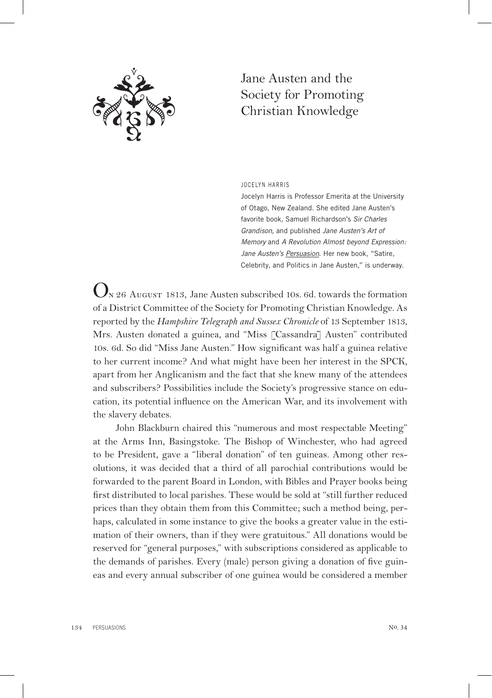

## Jane Austen and the Society for Promoting Christian Knowledge

JoCeLy n hARRIS

Jocelyn Harris is Professor Emerita at the University of otago, new Zealand. She edited Jane Austen's favorite book, Samuel Richardson's *Sir Charles Grandison*, and published *Jane Austen's Art of Memory* and *A Revolution Almost beyond Expression:*  Jane Austen's Persuasion. Her new book, "Satire, Celebrity, and politics in Jane Austen," is underway.

 $\mathbf{Q}_{N\,26\ \text{AuGUST}}$  1813, Jane Austen subscribed 10s. 6d. towards the formation of a District Committee of the Society for Promoting Christian Knowledge. As reported by the *Hampshire Telegraph and Sussex Chronicle* of 13 September 1813, Mrs. Austen donated a guinea, and "Miss [Cassandra] Austen" contributed 10s. 6d. So did "Miss Jane Austen." How significant was half a guinea relative to her current income? And what might have been her interest in the SPCK, apart from her Anglicanism and the fact that she knew many of the attendees and subscribers? Possibilities include the Society's progressive stance on education, its potential influence on the American War, and its involvement with the slavery debates.

John Blackburn chaired this "numerous and most respectable Meeting" at the Arms Inn, Basingstoke. The Bishop of Winchester, who had agreed to be President, gave a "liberal donation" of ten guineas. Among other resolutions, it was decided that a third of all parochial contributions would be forwarded to the parent Board in London, with Bibles and Prayer books being first distributed to local parishes. These would be sold at "still further reduced prices than they obtain them from this Committee; such a method being, perhaps, calculated in some instance to give the books a greater value in the estimation of their owners, than if they were gratuitous." All donations would be reserved for "general purposes," with subscriptions considered as applicable to the demands of parishes. Every (male) person giving a donation of five guineas and every annual subscriber of one guinea would be considered a member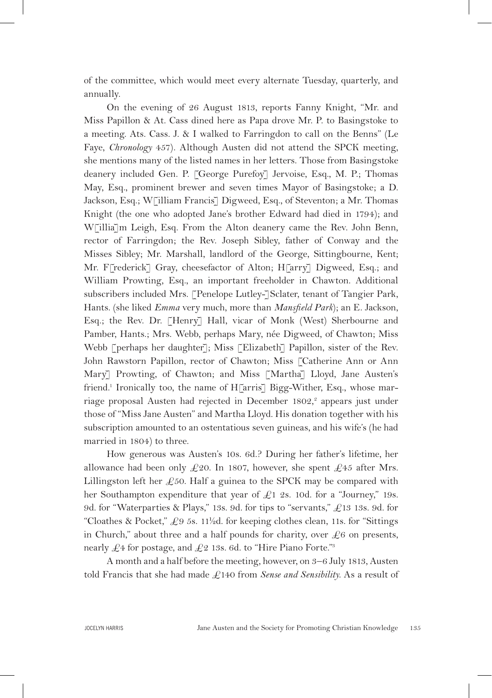of the committee, which would meet every alternate Tuesday, quarterly, and annually.

On the evening of 26 August 1813, reports Fanny Knight, "Mr. and Miss Papillon & At. Cass dined here as Papa drove Mr. P. to Basingstoke to a meeting. Ats. Cass. J. & I walked to Farringdon to call on the Benns" (Le Faye, *Chronology* 457). Although Austen did not attend the SPCK meeting, she mentions many of the listed names in her letters. Those from Basingstoke deanery included Gen. P. [George Purefoy] Jervoise, Esq., M. P.; Thomas May, Esq., prominent brewer and seven times Mayor of Basingstoke; a D. Jackson, Esq.; W[illiam Francis] Digweed, Esq., of Steventon; a Mr. Thomas Knight (the one who adopted Jane's brother Edward had died in 1794); and W[illia]m Leigh, Esq. From the Alton deanery came the Rev. John Benn, rector of Farringdon; the Rev. Joseph Sibley, father of Conway and the Misses Sibley; Mr. Marshall, landlord of the George, Sittingbourne, Kent; Mr. F[rederick] Gray, cheesefactor of Alton; H[arry] Digweed, Esq.; and William Prowting, Esq., an important freeholder in Chawton. Additional subscribers included Mrs. [Penelope Lutley-]Sclater, tenant of Tangier Park, Hants. (she liked *Emma* very much, more than *Mansfield Park*); an E. Jackson, Esq.; the Rev. Dr. [Henry] Hall, vicar of Monk (West) Sherbourne and Pamber, Hants.; Mrs. Webb, perhaps Mary, née Digweed, of Chawton; Miss Webb [perhaps her daughter]; Miss [Elizabeth] Papillon, sister of the Rev. John Rawstorn Papillon, rector of Chawton; Miss [Catherine Ann or Ann Mary] Prowting, of Chawton; and Miss [Martha] Lloyd, Jane Austen's friend.<sup>1</sup> Ironically too, the name of H[arris] Bigg-Wither, Esq., whose marriage proposal Austen had rejected in December 1802,<sup>2</sup> appears just under those of "Miss Jane Austen" and Martha Lloyd. His donation together with his subscription amounted to an ostentatious seven guineas, and his wife's (he had married in 1804) to three.

How generous was Austen's 10s. 6d.? During her father's lifetime, her allowance had been only £20. In 1807, however, she spent £45 after Mrs. Lillingston left her  $\mathcal{L}$ 50. Half a guinea to the SPCK may be compared with her Southampton expenditure that year of  $\mathcal{L}1$  2s. 10d. for a "Journey," 19s. 9d. for "Waterparties & Plays," 13s. 9d. for tips to "servants,"  $\pounds$ 13 13s. 9d. for "Cloathes & Pocket,"  $\&e{9}$  5s. 11<sup>1</sup>/<sub>2</sub>d. for keeping clothes clean, 11s. for "Sittings" in Church," about three and a half pounds for charity, over  $\mathcal{L}6$  on presents, nearly  $\pounds$ 4 for postage, and  $\pounds$ 2 13s. 6d. to "Hire Piano Forte."<sup>3</sup>

A month and a half before the meeting, however, on 3–6 July 1813, Austen told Francis that she had made £140 from *Sense and Sensibility*. As a result of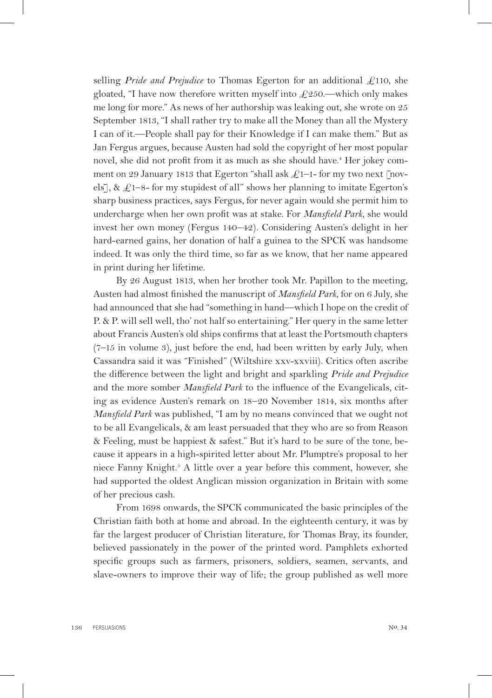selling *Pride and Prejudice* to Thomas Egerton for an additional £110, she gloated, "I have now therefore written myself into  $\pounds$ 250.—which only makes me long for more." As news of her authorship was leaking out, she wrote on 25 September 1813, "I shall rather try to make all the Money than all the Mystery I can of it.—People shall pay for their Knowledge if I can make them." But as Jan Fergus argues, because Austen had sold the copyright of her most popular novel, she did not profit from it as much as she should have.<sup>4</sup> Her jokey comment on 29 January 1813 that Egerton "shall ask  $\pounds$ 1-1- for my two next [novels], &  $\pounds$ 1-8- for my stupidest of all" shows her planning to imitate Egerton's sharp business practices, says Fergus, for never again would she permit him to undercharge when her own profit was at stake. For *Mansfield Park*, she would invest her own money (Fergus 140–42). Considering Austen's delight in her hard-earned gains, her donation of half a guinea to the SPCK was handsome indeed. It was only the third time, so far as we know, that her name appeared in print during her lifetime.

By 26 August 1813, when her brother took Mr. Papillon to the meeting, Austen had almost finished the manuscript of *Mansfield Park*, for on 6 July, she had announced that she had "something in hand—which I hope on the credit of P. & P. will sell well, tho' not half so entertaining." Her query in the same letter about Francis Austen's old ships confirms that at least the Portsmouth chapters (7–15 in volume 3), just before the end, had been written by early July, when Cassandra said it was "Finished" (Wiltshire xxv-xxviii). Critics often ascribe the difference between the light and bright and sparkling *Pride and Prejudice* and the more somber *Mansfield Park* to the influence of the Evangelicals, citing as evidence Austen's remark on 18–20 November 1814, six months after *Mansfield Park* was published, "I am by no means convinced that we ought not to be all Evangelicals, & am least persuaded that they who are so from Reason & Feeling, must be happiest & safest." But it's hard to be sure of the tone, because it appears in a high-spirited letter about Mr. Plumptre's proposal to her niece Fanny Knight.<sup>5</sup> A little over a year before this comment, however, she had supported the oldest Anglican mission organization in Britain with some of her precious cash.

From 1698 onwards, the SPCK communicated the basic principles of the Christian faith both at home and abroad. In the eighteenth century, it was by far the largest producer of Christian literature, for Thomas Bray, its founder, believed passionately in the power of the printed word. Pamphlets exhorted specific groups such as farmers, prisoners, soldiers, seamen, servants, and slave-owners to improve their way of life; the group published as well more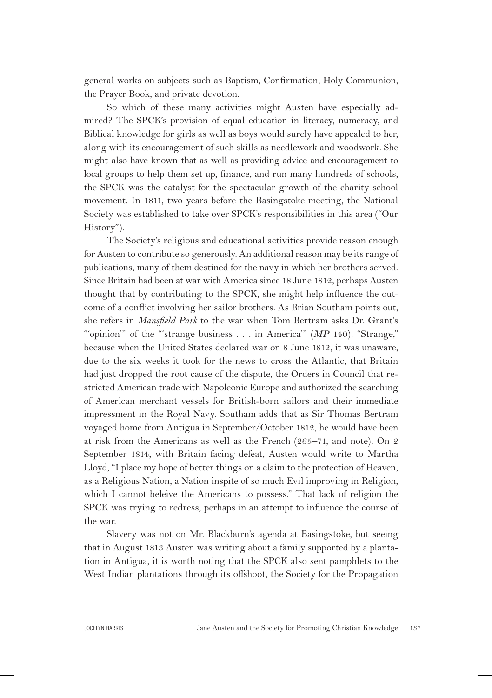general works on subjects such as Baptism, Confirmation, Holy Communion, the Prayer Book, and private devotion.

So which of these many activities might Austen have especially admired? The SPCK's provision of equal education in literacy, numeracy, and Biblical knowledge for girls as well as boys would surely have appealed to her, along with its encouragement of such skills as needlework and woodwork. She might also have known that as well as providing advice and encouragement to local groups to help them set up, finance, and run many hundreds of schools, the SPCK was the catalyst for the spectacular growth of the charity school movement. In 1811, two years before the Basingstoke meeting, the National Society was established to take over SPCK's responsibilities in this area ("Our History").

The Society's religious and educational activities provide reason enough for Austen to contribute so generously. An additional reason may be its range of publications, many of them destined for the navy in which her brothers served. Since Britain had been at war with America since 18 June 1812, perhaps Austen thought that by contributing to the SPCK, she might help influence the outcome of a conflict involving her sailor brothers. As Brian Southam points out, she refers in *Mansfield Park* to the war when Tom Bertram asks Dr. Grant's ""opinion" of the "strange business . . . in America" (*MP* 140). "Strange," because when the United States declared war on 8 June 1812, it was unaware, due to the six weeks it took for the news to cross the Atlantic, that Britain had just dropped the root cause of the dispute, the Orders in Council that restricted American trade with Napoleonic Europe and authorized the searching of American merchant vessels for British-born sailors and their immediate impressment in the Royal Navy. Southam adds that as Sir Thomas Bertram voyaged home from Antigua in September/October 1812, he would have been at risk from the Americans as well as the French (265–71, and note). On 2 September 1814, with Britain facing defeat, Austen would write to Martha Lloyd, "I place my hope of better things on a claim to the protection of Heaven, as a Religious Nation, a Nation inspite of so much Evil improving in Religion, which I cannot beleive the Americans to possess." That lack of religion the SPCK was trying to redress, perhaps in an attempt to influence the course of the war.

Slavery was not on Mr. Blackburn's agenda at Basingstoke, but seeing that in August 1813 Austen was writing about a family supported by a plantation in Antigua, it is worth noting that the SPCK also sent pamphlets to the West Indian plantations through its offshoot, the Society for the Propagation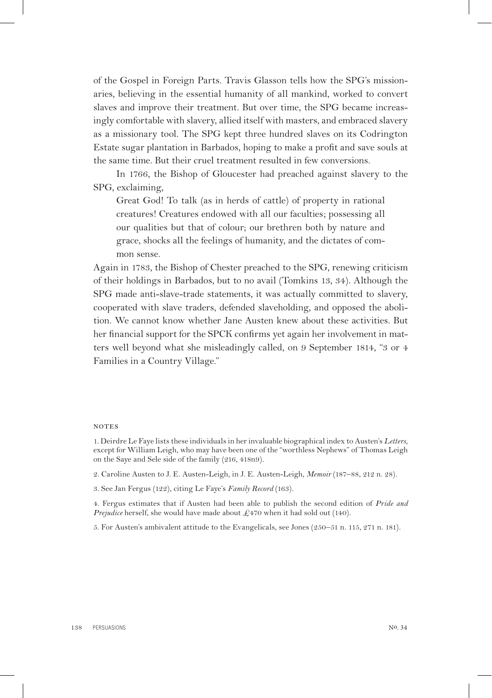of the Gospel in Foreign Parts. Travis Glasson tells how the SPG's missionaries, believing in the essential humanity of all mankind, worked to convert slaves and improve their treatment. But over time, the SPG became increasingly comfortable with slavery, allied itself with masters, and embraced slavery as a missionary tool. The SPG kept three hundred slaves on its Codrington Estate sugar plantation in Barbados, hoping to make a profit and save souls at the same time. But their cruel treatment resulted in few conversions.

In 1766, the Bishop of Gloucester had preached against slavery to the SPG, exclaiming,

Great God! To talk (as in herds of cattle) of property in rational creatures! Creatures endowed with all our faculties; possessing all our qualities but that of colour; our brethren both by nature and grace, shocks all the feelings of humanity, and the dictates of common sense.

Again in 1783, the Bishop of Chester preached to the SPG, renewing criticism of their holdings in Barbados, but to no avail (Tomkins 13, 34). Although the SPG made anti-slave-trade statements, it was actually committed to slavery, cooperated with slave traders, defended slaveholding, and opposed the abolition. We cannot know whether Jane Austen knew about these activities. But her financial support for the SPCK confirms yet again her involvement in matters well beyond what she misleadingly called, on 9 September 1814, "3 or 4 Families in a Country Village."

## **NOTES**

1. Deirdre Le Faye lists these individuals in her invaluable biographical index to Austen's *Letters*, except for William Leigh, who may have been one of the "worthless Nephews" of Thomas Leigh on the Saye and Sele side of the family (216, 418n9).

- 2. Caroline Austen to J. E. Austen-Leigh, in J. E. Austen-Leigh, *Memoir* (187–88, 212 n. 28).
- 3. See Jan Fergus (122), citing Le Faye's *Family Record* (163).

4. Fergus estimates that if Austen had been able to publish the second edition of *Pride and Prejudice* herself, she would have made about £470 when it had sold out (140).

5. For Austen's ambivalent attitude to the Evangelicals, see Jones (250–51 n. 115, 271 n. 181).